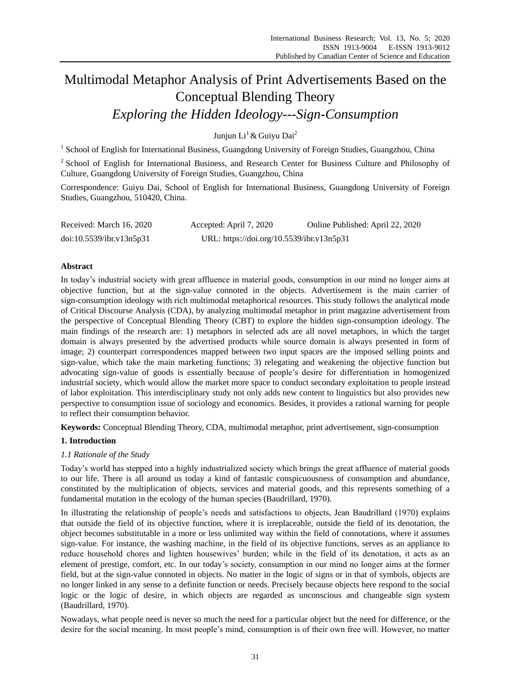# Multimodal Metaphor Analysis of Print Advertisements Based on the Conceptual Blending Theory *Exploring the Hidden Ideology---Sign-Consumption*

Juniun Li<sup>1</sup> & Guivu Dai<sup>2</sup>

<sup>1</sup> School of English for International Business, Guangdong University of Foreign Studies, Guangzhou, China

<sup>2</sup> School of English for International Business, and Research Center for Business Culture and Philosophy of Culture, Guangdong University of Foreign Studies, Guangzhou, China

Correspondence: Guiyu Dai, School of English for International Business, Guangdong University of Foreign Studies, Guangzhou, 510420, China.

| Received: March 16, 2020 | Accepted: April 7, 2020                   | Online Published: April 22, 2020 |
|--------------------------|-------------------------------------------|----------------------------------|
| doi:10.5539/ibr.v13n5p31 | URL: https://doi.org/10.5539/ibr.v13n5p31 |                                  |

# **Abstract**

In today"s industrial society with great affluence in material goods, consumption in our mind no longer aims at objective function, but at the sign-value connoted in the objects. Advertisement is the main carrier of sign-consumption ideology with rich multimodal metaphorical resources. This study follows the analytical mode of Critical Discourse Analysis (CDA), by analyzing multimodal metaphor in print magazine advertisement from the perspective of Conceptual Blending Theory (CBT) to explore the hidden sign-consumption ideology. The main findings of the research are: 1) metaphors in selected ads are all novel metaphors, in which the target domain is always presented by the advertised products while source domain is always presented in form of image; 2) counterpart correspondences mapped between two input spaces are the imposed selling points and sign-value, which take the main marketing functions; 3) relegating and weakening the objective function but advocating sign-value of goods is essentially because of people"s desire for differentiation in homogenized industrial society, which would allow the market more space to conduct secondary exploitation to people instead of labor exploitation. This interdisciplinary study not only adds new content to linguistics but also provides new perspective to consumption issue of sociology and economics. Besides, it provides a rational warning for people to reflect their consumption behavior.

**Keywords:** Conceptual Blending Theory, CDA, multimodal metaphor, print advertisement, sign-consumption

# **1. Introduction**

# *1.1 Rationale of the Study*

Today"s world has stepped into a highly industrialized society which brings the great affluence of material goods to our life. There is all around us today a kind of fantastic conspicuousness of consumption and abundance, constituted by the multiplication of objects, services and material goods, and this represents something of a fundamental mutation in the ecology of the human species (Baudrillard, 1970).

In illustrating the relationship of people"s needs and satisfactions to objects, Jean Baudrillard (1970) explains that outside the field of its objective function, where it is irreplaceable, outside the field of its denotation, the object becomes substitutable in a more or less unlimited way within the field of connotations, where it assumes sign-value. For instance, the washing machine, in the field of its objective functions, serves as an appliance to reduce household chores and lighten housewives" burden; while in the field of its denotation, it acts as an element of prestige, comfort, etc. In our today"s society, consumption in our mind no longer aims at the former field, but at the sign-value connoted in objects. No matter in the logic of signs or in that of symbols, objects are no longer linked in any sense to a definite function or needs. Precisely because objects here respond to the social logic or the logic of desire, in which objects are regarded as unconscious and changeable sign system (Baudrillard, 1970).

Nowadays, what people need is never so much the need for a particular object but the need for difference, or the desire for the social meaning. In most people's mind, consumption is of their own free will. However, no matter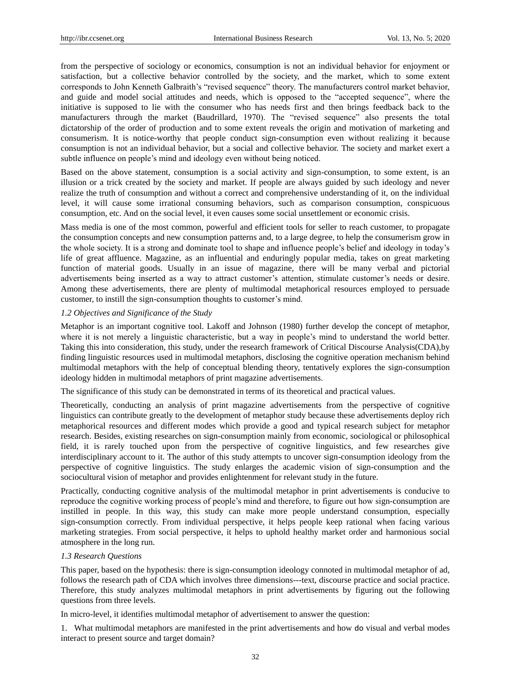from the perspective of sociology or economics, consumption is not an individual behavior for enjoyment or satisfaction, but a collective behavior controlled by the society, and the market, which to some extent corresponds to John Kenneth Galbraith"s "revised sequence" theory. The manufacturers control market behavior, and guide and model social attitudes and needs, which is opposed to the "accepted sequence", where the initiative is supposed to lie with the consumer who has needs first and then brings feedback back to the manufacturers through the market (Baudrillard, 1970). The "revised sequence" also presents the total dictatorship of the order of production and to some extent reveals the origin and motivation of marketing and consumerism. It is notice-worthy that people conduct sign-consumption even without realizing it because consumption is not an individual behavior, but a social and collective behavior. The society and market exert a subtle influence on people"s mind and ideology even without being noticed.

Based on the above statement, consumption is a social activity and sign-consumption, to some extent, is an illusion or a trick created by the society and market. If people are always guided by such ideology and never realize the truth of consumption and without a correct and comprehensive understanding of it, on the individual level, it will cause some irrational consuming behaviors, such as comparison consumption, conspicuous consumption, etc. And on the social level, it even causes some social unsettlement or economic crisis.

Mass media is one of the most common, powerful and efficient tools for seller to reach customer, to propagate the consumption concepts and new consumption patterns and, to a large degree, to help the consumerism grow in the whole society. It is a strong and dominate tool to shape and influence people"s belief and ideology in today"s life of great affluence. Magazine, as an influential and enduringly popular media, takes on great marketing function of material goods. Usually in an issue of magazine, there will be many verbal and pictorial advertisements being inserted as a way to attract customer"s attention, stimulate customer"s needs or desire. Among these advertisements, there are plenty of multimodal metaphorical resources employed to persuade customer, to instill the sign-consumption thoughts to customer's mind.

#### *1.2 Objectives and Significance of the Study*

Metaphor is an important cognitive tool. Lakoff and Johnson (1980) further develop the concept of metaphor, where it is not merely a linguistic characteristic, but a way in people"s mind to understand the world better. Taking this into consideration, this study, under the research framework of Critical Discourse Analysis(CDA),by finding linguistic resources used in multimodal metaphors, disclosing the cognitive operation mechanism behind multimodal metaphors with the help of conceptual blending theory, tentatively explores the sign-consumption ideology hidden in multimodal metaphors of print magazine advertisements.

The significance of this study can be demonstrated in terms of its theoretical and practical values.

Theoretically, conducting an analysis of print magazine advertisements from the perspective of cognitive linguistics can contribute greatly to the development of metaphor study because these advertisements deploy rich metaphorical resources and different modes which provide a good and typical research subject for metaphor research. Besides, existing researches on sign-consumption mainly from economic, sociological or philosophical field, it is rarely touched upon from the perspective of cognitive linguistics, and few researches give interdisciplinary account to it. The author of this study attempts to uncover sign-consumption ideology from the perspective of cognitive linguistics. The study enlarges the academic vision of sign-consumption and the sociocultural vision of metaphor and provides enlightenment for relevant study in the future.

Practically, conducting cognitive analysis of the multimodal metaphor in print advertisements is conducive to reproduce the cognitive working process of people"s mind and therefore, to figure out how sign-consumption are instilled in people. In this way, this study can make more people understand consumption, especially sign-consumption correctly. From individual perspective, it helps people keep rational when facing various marketing strategies. From social perspective, it helps to uphold healthy market order and harmonious social atmosphere in the long run.

#### *1.3 Research Questions*

This paper, based on the hypothesis: there is sign-consumption ideology connoted in multimodal metaphor of ad, follows the research path of CDA which involves three dimensions---text, discourse practice and social practice. Therefore, this study analyzes multimodal metaphors in print advertisements by figuring out the following questions from three levels.

In micro-level, it identifies multimodal metaphor of advertisement to answer the question:

1. What multimodal metaphors are manifested in the print advertisements and how do visual and verbal modes interact to present source and target domain?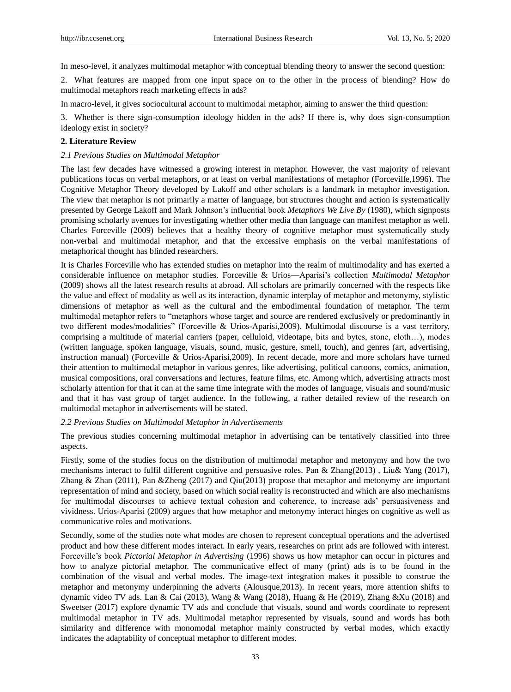In meso-level, it analyzes multimodal metaphor with conceptual blending theory to answer the second question:

2. What features are mapped from one input space on to the other in the process of blending? How do multimodal metaphors reach marketing effects in ads?

In macro-level, it gives sociocultural account to multimodal metaphor, aiming to answer the third question:

3. Whether is there sign-consumption ideology hidden in the ads? If there is, why does sign-consumption ideology exist in society?

## **2. Literature Review**

## *2.1 Previous Studies on Multimodal Metaphor*

The last few decades have witnessed a growing interest in metaphor. However, the vast majority of relevant publications focus on verbal metaphors, or at least on verbal manifestations of metaphor (Forceville,1996). The Cognitive Metaphor Theory developed by Lakoff and other scholars is a landmark in metaphor investigation. The view that metaphor is not primarily a matter of language, but structures thought and action is systematically presented by George Lakoff and Mark Johnson"s influential book *Metaphors We Live By* (1980), which signposts promising scholarly avenues for investigating whether other media than language can manifest metaphor as well. Charles Forceville (2009) believes that a healthy theory of cognitive metaphor must systematically study non-verbal and multimodal metaphor, and that the excessive emphasis on the verbal manifestations of metaphorical thought has blinded researchers.

It is Charles Forceville who has extended studies on metaphor into the realm of multimodality and has exerted a considerable influence on metaphor studies. Forceville & Urios—Aparisi"s collection *Multimodal Metaphor*  (2009) shows all the latest research results at abroad. All scholars are primarily concerned with the respects like the value and effect of modality as well as its interaction, dynamic interplay of metaphor and metonymy, stylistic dimensions of metaphor as well as the cultural and the embodimental foundation of metaphor. The term multimodal metaphor refers to "metaphors whose target and source are rendered exclusively or predominantly in two different modes/modalities" (Forceville & Urios-Aparisi,2009). Multimodal discourse is a vast territory, comprising a multitude of material carriers (paper, celluloid, videotape, bits and bytes, stone, cloth…), modes (written language, spoken language, visuals, sound, music, gesture, smell, touch), and genres (art, advertising, instruction manual) (Forceville & Urios-Aparisi,2009). In recent decade, more and more scholars have turned their attention to multimodal metaphor in various genres, like advertising, political cartoons, comics, animation, musical compositions, oral conversations and lectures, feature films, etc. Among which, advertising attracts most scholarly attention for that it can at the same time integrate with the modes of language, visuals and sound/music and that it has vast group of target audience. In the following, a rather detailed review of the research on multimodal metaphor in advertisements will be stated.

# *2.2 Previous Studies on Multimodal Metaphor in Advertisements*

The previous studies concerning multimodal metaphor in advertising can be tentatively classified into three aspects.

Firstly, some of the studies focus on the distribution of multimodal metaphor and metonymy and how the two mechanisms interact to fulfil different cognitive and persuasive roles. Pan & Zhang(2013) , Liu& Yang (2017), Zhang & Zhan (2011), Pan &Zheng (2017) and Qiu(2013) propose that metaphor and metonymy are important representation of mind and society, based on which social reality is reconstructed and which are also mechanisms for multimodal discourses to achieve textual cohesion and coherence, to increase ads" persuasiveness and vividness. Urios-Aparisi (2009) argues that how metaphor and metonymy interact hinges on cognitive as well as communicative roles and motivations.

Secondly, some of the studies note what modes are chosen to represent conceptual operations and the advertised product and how these different modes interact. In early years, researches on print ads are followed with interest. Forceville"s book *Pictorial Metaphor in Advertising* (1996) shows us how metaphor can occur in pictures and how to analyze pictorial metaphor. The communicative effect of many (print) ads is to be found in the combination of the visual and verbal modes. The image-text integration makes it possible to construe the metaphor and metonymy underpinning the adverts (Alousque,2013). In recent years, more attention shifts to dynamic video TV ads. Lan & Cai (2013), Wang & Wang (2018), Huang & He (2019), Zhang &Xu (2018) and Sweetser (2017) explore dynamic TV ads and conclude that visuals, sound and words coordinate to represent multimodal metaphor in TV ads. Multimodal metaphor represented by visuals, sound and words has both similarity and difference with monomodal metaphor mainly constructed by verbal modes, which exactly indicates the adaptability of conceptual metaphor to different modes.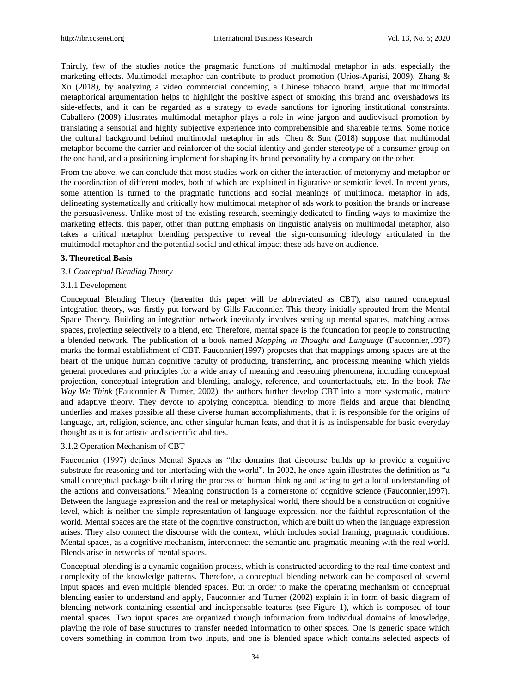Thirdly, few of the studies notice the pragmatic functions of multimodal metaphor in ads, especially the marketing effects. Multimodal metaphor can contribute to product promotion (Urios-Aparisi, 2009). Zhang & Xu (2018), by analyzing a video commercial concerning a Chinese tobacco brand, argue that multimodal metaphorical argumentation helps to highlight the positive aspect of smoking this brand and overshadows its side-effects, and it can be regarded as a strategy to evade sanctions for ignoring institutional constraints. Caballero (2009) illustrates multimodal metaphor plays a role in wine jargon and audiovisual promotion by translating a sensorial and highly subjective experience into comprehensible and shareable terms. Some notice the cultural background behind multimodal metaphor in ads. Chen & Sun  $(2018)$  suppose that multimodal metaphor become the carrier and reinforcer of the social identity and gender stereotype of a consumer group on the one hand, and a positioning implement for shaping its brand personality by a company on the other.

From the above, we can conclude that most studies work on either the interaction of metonymy and metaphor or the coordination of different modes, both of which are explained in figurative or semiotic level. In recent years, some attention is turned to the pragmatic functions and social meanings of multimodal metaphor in ads, delineating systematically and critically how multimodal metaphor of ads work to position the brands or increase the persuasiveness. Unlike most of the existing research, seemingly dedicated to finding ways to maximize the marketing effects, this paper, other than putting emphasis on linguistic analysis on multimodal metaphor, also takes a critical metaphor blending perspective to reveal the sign-consuming ideology articulated in the multimodal metaphor and the potential social and ethical impact these ads have on audience.

#### **3. Theoretical Basis**

#### *3.1 Conceptual Blending Theory*

#### 3.1.1 Development

Conceptual Blending Theory (hereafter this paper will be abbreviated as CBT), also named conceptual integration theory, was firstly put forward by Gills Fauconnier. This theory initially sprouted from the Mental Space Theory. Building an integration network inevitably involves setting up mental spaces, matching across spaces, projecting selectively to a blend, etc. Therefore, mental space is the foundation for people to constructing a blended network. The publication of a book named *Mapping in Thought and Language* (Fauconnier,1997) marks the formal establishment of CBT. Fauconnier(1997) proposes that that mappings among spaces are at the heart of the unique human cognitive faculty of producing, transferring, and processing meaning which yields general procedures and principles for a wide array of meaning and reasoning phenomena, including conceptual projection, conceptual integration and blending, analogy, reference, and counterfactuals, etc. In the book *The Way We Think* (Fauconnier & Turner, 2002), the authors further develop CBT into a more systematic, mature and adaptive theory. They devote to applying conceptual blending to more fields and argue that blending underlies and makes possible all these diverse human accomplishments, that it is responsible for the origins of language, art, religion, science, and other singular human feats, and that it is as indispensable for basic everyday thought as it is for artistic and scientific abilities.

## 3.1.2 Operation Mechanism of CBT

Fauconnier (1997) defines Mental Spaces as "the domains that discourse builds up to provide a cognitive substrate for reasoning and for interfacing with the world". In 2002, he once again illustrates the definition as "a small conceptual package built during the process of human thinking and acting to get a local understanding of the actions and conversations." Meaning construction is a cornerstone of cognitive science (Fauconnier,1997). Between the language expression and the real or metaphysical world, there should be a construction of cognitive level, which is neither the simple representation of language expression, nor the faithful representation of the world. Mental spaces are the state of the cognitive construction, which are built up when the language expression arises. They also connect the discourse with the context, which includes social framing, pragmatic conditions. Mental spaces, as a cognitive mechanism, interconnect the semantic and pragmatic meaning with the real world. Blends arise in networks of mental spaces.

Conceptual blending is a dynamic cognition process, which is constructed according to the real-time context and complexity of the knowledge patterns. Therefore, a conceptual blending network can be composed of several input spaces and even multiple blended spaces. But in order to make the operating mechanism of conceptual blending easier to understand and apply, Fauconnier and Turner (2002) explain it in form of basic diagram of blending network containing essential and indispensable features (see Figure 1), which is composed of four mental spaces. Two input spaces are organized through information from individual domains of knowledge, playing the role of base structures to transfer needed information to other spaces. One is generic space which covers something in common from two inputs, and one is blended space which contains selected aspects of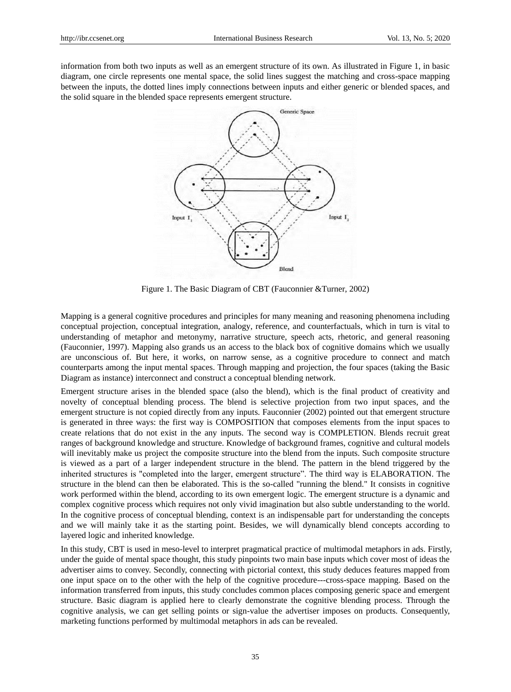information from both two inputs as well as an emergent structure of its own. As illustrated in Figure 1, in basic diagram, one circle represents one mental space, the solid lines suggest the matching and cross-space mapping between the inputs, the dotted lines imply connections between inputs and either generic or blended spaces, and the solid square in the blended space represents emergent structure.



Figure 1. The Basic Diagram of CBT (Fauconnier &Turner, 2002)

Mapping is a general cognitive procedures and principles for many meaning and reasoning phenomena including conceptual projection, conceptual integration, analogy, reference, and counterfactuals, which in turn is vital to understanding of metaphor and metonymy, narrative structure, speech acts, rhetoric, and general reasoning (Fauconnier, 1997). Mapping also grands us an access to the black box of cognitive domains which we usually are unconscious of. But here, it works, on narrow sense, as a cognitive procedure to connect and match counterparts among the input mental spaces. Through mapping and projection, the four spaces (taking the Basic Diagram as instance) interconnect and construct a conceptual blending network.

Emergent structure arises in the blended space (also the blend), which is the final product of creativity and novelty of conceptual blending process. The blend is selective projection from two input spaces, and the emergent structure is not copied directly from any inputs. Fauconnier (2002) pointed out that emergent structure is generated in three ways: the first way is COMPOSITION that composes elements from the input spaces to create relations that do not exist in the any inputs. The second way is COMPLETION. Blends recruit great ranges of background knowledge and structure. Knowledge of background frames, cognitive and cultural models will inevitably make us project the composite structure into the blend from the inputs. Such composite structure is viewed as a part of a larger independent structure in the blend. The pattern in the blend triggered by the inherited structures is "completed into the larger, emergent structure". The third way is ELABORATION. The structure in the blend can then be elaborated. This is the so-called "running the blend." It consists in cognitive work performed within the blend, according to its own emergent logic. The emergent structure is a dynamic and complex cognitive process which requires not only vivid imagination but also subtle understanding to the world. In the cognitive process of conceptual blending, context is an indispensable part for understanding the concepts and we will mainly take it as the starting point. Besides, we will dynamically blend concepts according to layered logic and inherited knowledge.

In this study, CBT is used in meso-level to interpret pragmatical practice of multimodal metaphors in ads. Firstly, under the guide of mental space thought, this study pinpoints two main base inputs which cover most of ideas the advertiser aims to convey. Secondly, connecting with pictorial context, this study deduces features mapped from one input space on to the other with the help of the cognitive procedure---cross-space mapping. Based on the information transferred from inputs, this study concludes common places composing generic space and emergent structure. Basic diagram is applied here to clearly demonstrate the cognitive blending process. Through the cognitive analysis, we can get selling points or sign-value the advertiser imposes on products. Consequently, marketing functions performed by multimodal metaphors in ads can be revealed.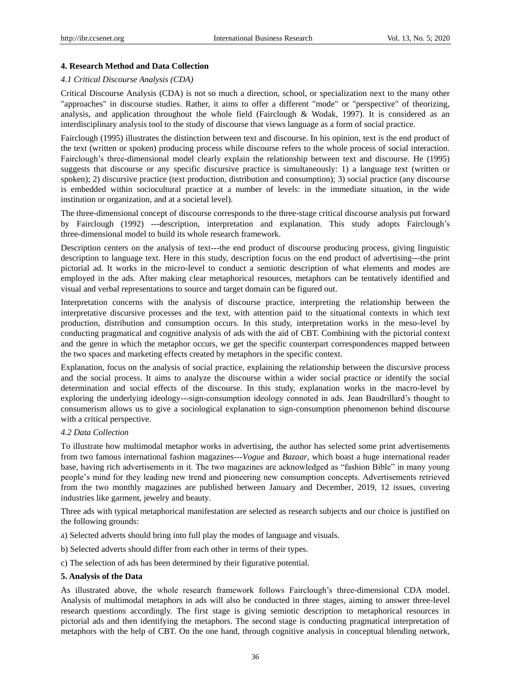## **4. Research Method and Data Collection**

#### *4.1 Critical Discourse Analysis (CDA)*

Critical Discourse Analysis (CDA) is not so much a direction, school, or specialization next to the many other "approaches" in discourse studies. Rather, it aims to offer a different "mode" or "perspective" of theorizing, analysis, and application throughout the whole field (Fairclough & Wodak, 1997). It is considered as an interdisciplinary analysis tool to the study of discourse that views language as a form of social practice.

Fairclough (1995) illustrates the distinction between text and discourse. In his opinion, text is the end product of the text (written or spoken) producing process while discourse refers to the whole process of social interaction. Fairclough"s three-dimensional model clearly explain the relationship between text and discourse. He (1995) suggests that discourse or any specific discursive practice is simultaneously: 1) a language text (written or spoken); 2) discursive practice (text production, distribution and consumption); 3) social practice (any discourse is embedded within sociocultural practice at a number of levels: in the immediate situation, in the wide institution or organization, and at a societal level).

The three-dimensional concept of discourse corresponds to the three-stage critical discourse analysis put forward by Fairclough (1992) ---description, interpretation and explanation. This study adopts Fairclough"s three-dimensional model to build its whole research framework.

Description centers on the analysis of text---the end product of discourse producing process, giving linguistic description to language text. Here in this study, description focus on the end product of advertising---the print pictorial ad. It works in the micro-level to conduct a semiotic description of what elements and modes are employed in the ads. After making clear metaphorical resources, metaphors can be tentatively identified and visual and verbal representations to source and target domain can be figured out.

Interpretation concerns with the analysis of discourse practice, interpreting the relationship between the interpretative discursive processes and the text, with attention paid to the situational contexts in which text production, distribution and consumption occurs. In this study, interpretation works in the meso-level by conducting pragmatical and cognitive analysis of ads with the aid of CBT. Combining with the pictorial context and the genre in which the metaphor occurs, we get the specific counterpart correspondences mapped between the two spaces and marketing effects created by metaphors in the specific context.

Explanation, focus on the analysis of social practice, explaining the relationship between the discursive process and the social process. It aims to analyze the discourse within a wider social practice or identify the social determination and social effects of the discourse. In this study, explanation works in the macro-level by exploring the underlying ideology---sign-consumption ideology connoted in ads. Jean Baudrillard"s thought to consumerism allows us to give a sociological explanation to sign-consumption phenomenon behind discourse with a critical perspective.

#### *4.2 Data Collection*

To illustrate how multimodal metaphor works in advertising, the author has selected some print advertisements from two famous international fashion magazines---*Vogue* and *Bazaar*, which boast a huge international reader base, having rich advertisements in it. The two magazines are acknowledged as "fashion Bible" in many young people"s mind for they leading new trend and pioneering new consumption concepts. Advertisements retrieved from the two monthly magazines are published between January and December, 2019, 12 issues, covering industries like garment, jewelry and beauty.

Three ads with typical metaphorical manifestation are selected as research subjects and our choice is justified on the following grounds:

- a) Selected adverts should bring into full play the modes of language and visuals.
- b) Selected adverts should differ from each other in terms of their types.

c) The selection of ads has been determined by their figurative potential.

#### **5. Analysis of the Data**

As illustrated above, the whole research framework follows Fairclough"s three-dimensional CDA model. Analysis of multimodal metaphors in ads will also be conducted in three stages, aiming to answer three-level research questions accordingly. The first stage is giving semiotic description to metaphorical resources in pictorial ads and then identifying the metaphors. The second stage is conducting pragmatical interpretation of metaphors with the help of CBT. On the one hand, through cognitive analysis in conceptual blending network,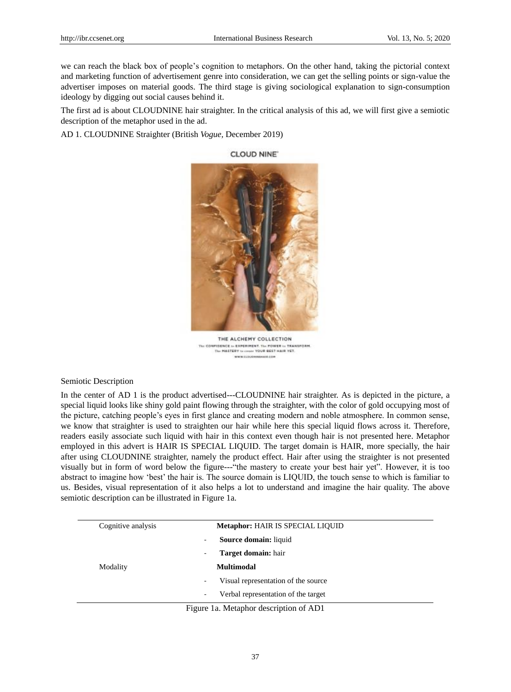we can reach the black box of people"s cognition to metaphors. On the other hand, taking the pictorial context and marketing function of advertisement genre into consideration, we can get the selling points or sign-value the advertiser imposes on material goods. The third stage is giving sociological explanation to sign-consumption ideology by digging out social causes behind it.

The first ad is about CLOUDNINE hair straighter. In the critical analysis of this ad, we will first give a semiotic description of the metaphor used in the ad.

AD 1. CLOUDNINE Straighter (British *Vogue,* December 2019)



**CLOUD NINE** 

THE ALCHEMY COLLECTION The COMFIDENCE in EXPERIMENT, The POWER in TRANSFORM.<br>The MASTERY in course YOUR SEST MAIR YET. www.cultura **HENRICK** 

Semiotic Description

In the center of AD 1 is the product advertised---CLOUDNINE hair straighter. As is depicted in the picture, a special liquid looks like shiny gold paint flowing through the straighter, with the color of gold occupying most of the picture, catching people"s eyes in first glance and creating modern and noble atmosphere. In common sense, we know that straighter is used to straighten our hair while here this special liquid flows across it. Therefore, readers easily associate such liquid with hair in this context even though hair is not presented here. Metaphor employed in this advert is HAIR IS SPECIAL LIQUID. The target domain is HAIR, more specially, the hair after using CLOUDNINE straighter, namely the product effect. Hair after using the straighter is not presented visually but in form of word below the figure---"the mastery to create your best hair yet". However, it is too abstract to imagine how "best" the hair is. The source domain is LIQUID, the touch sense to which is familiar to us. Besides, visual representation of it also helps a lot to understand and imagine the hair quality. The above semiotic description can be illustrated in Figure 1a.

| <b>Metaphor: HAIR IS SPECIAL LIQUID</b>  |
|------------------------------------------|
| <b>Source domain:</b> liquid<br>٠        |
| <b>Target domain:</b> hair<br>-          |
| <b>Multimodal</b>                        |
| Visual representation of the source<br>۰ |
| Verbal representation of the target<br>٠ |
|                                          |

Figure 1a. Metaphor description of AD1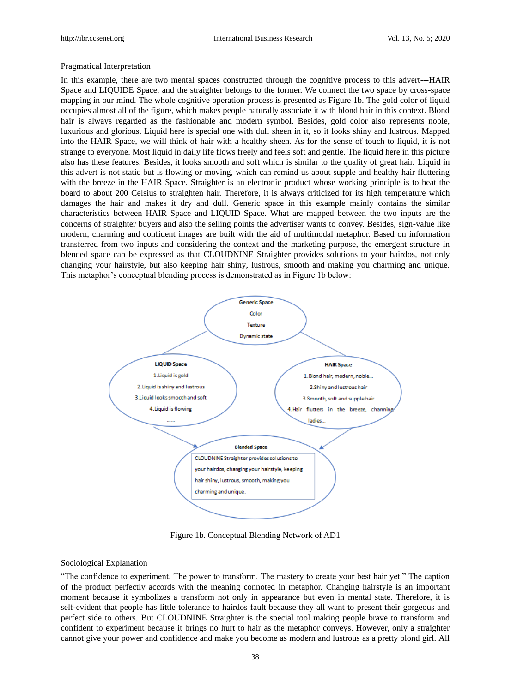#### Pragmatical Interpretation

In this example, there are two mental spaces constructed through the cognitive process to this advert---HAIR Space and LIQUIDE Space, and the straighter belongs to the former. We connect the two space by cross-space mapping in our mind. The whole cognitive operation process is presented as Figure 1b. The gold color of liquid occupies almost all of the figure, which makes people naturally associate it with blond hair in this context. Blond hair is always regarded as the fashionable and modern symbol. Besides, gold color also represents noble, luxurious and glorious. Liquid here is special one with dull sheen in it, so it looks shiny and lustrous. Mapped into the HAIR Space, we will think of hair with a healthy sheen. As for the sense of touch to liquid, it is not strange to everyone. Most liquid in daily life flows freely and feels soft and gentle. The liquid here in this picture also has these features. Besides, it looks smooth and soft which is similar to the quality of great hair. Liquid in this advert is not static but is flowing or moving, which can remind us about supple and healthy hair fluttering with the breeze in the HAIR Space. Straighter is an electronic product whose working principle is to heat the board to about 200 Celsius to straighten hair. Therefore, it is always criticized for its high temperature which damages the hair and makes it dry and dull. Generic space in this example mainly contains the similar characteristics between HAIR Space and LIQUID Space. What are mapped between the two inputs are the concerns of straighter buyers and also the selling points the advertiser wants to convey. Besides, sign-value like modern, charming and confident images are built with the aid of multimodal metaphor. Based on information transferred from two inputs and considering the context and the marketing purpose, the emergent structure in blended space can be expressed as that CLOUDNINE Straighter provides solutions to your hairdos, not only changing your hairstyle, but also keeping hair shiny, lustrous, smooth and making you charming and unique. This metaphor's conceptual blending process is demonstrated as in Figure 1b below:



Figure 1b. Conceptual Blending Network of AD1

## Sociological Explanation

"The confidence to experiment. The power to transform. The mastery to create your best hair yet." The caption of the product perfectly accords with the meaning connoted in metaphor. Changing hairstyle is an important moment because it symbolizes a transform not only in appearance but even in mental state. Therefore, it is self-evident that people has little tolerance to hairdos fault because they all want to present their gorgeous and perfect side to others. But CLOUDNINE Straighter is the special tool making people brave to transform and confident to experiment because it brings no hurt to hair as the metaphor conveys. However, only a straighter cannot give your power and confidence and make you become as modern and lustrous as a pretty blond girl. All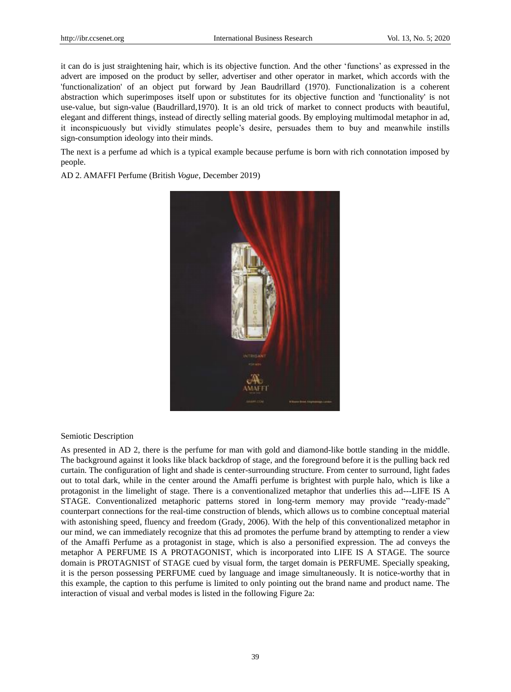it can do is just straightening hair, which is its objective function. And the other "functions" as expressed in the advert are imposed on the product by seller, advertiser and other operator in market, which accords with the 'functionalization' of an object put forward by Jean Baudrillard (1970). Functionalization is a coherent abstraction which superimposes itself upon or substitutes for its objective function and 'functionality' is not use-value, but sign-value (Baudrillard,1970). It is an old trick of market to connect products with beautiful, elegant and different things, instead of directly selling material goods. By employing multimodal metaphor in ad, it inconspicuously but vividly stimulates people"s desire, persuades them to buy and meanwhile instills sign-consumption ideology into their minds.

The next is a perfume ad which is a typical example because perfume is born with rich connotation imposed by people.

AD 2. AMAFFI Perfume (British *Vogue*, December 2019)



#### Semiotic Description

As presented in AD 2, there is the perfume for man with gold and diamond-like bottle standing in the middle. The background against it looks like black backdrop of stage, and the foreground before it is the pulling back red curtain. The configuration of light and shade is center-surrounding structure. From center to surround, light fades out to total dark, while in the center around the Amaffi perfume is brightest with purple halo, which is like a protagonist in the limelight of stage. There is a conventionalized metaphor that underlies this ad---LIFE IS A STAGE. Conventionalized metaphoric patterns stored in long-term memory may provide "ready-made" counterpart connections for the real-time construction of blends, which allows us to combine conceptual material with astonishing speed, fluency and freedom (Grady, 2006). With the help of this conventionalized metaphor in our mind, we can immediately recognize that this ad promotes the perfume brand by attempting to render a view of the Amaffi Perfume as a protagonist in stage, which is also a personified expression. The ad conveys the metaphor A PERFUME IS A PROTAGONIST, which is incorporated into LIFE IS A STAGE. The source domain is PROTAGNIST of STAGE cued by visual form, the target domain is PERFUME. Specially speaking, it is the person possessing PERFUME cued by language and image simultaneously. It is notice-worthy that in this example, the caption to this perfume is limited to only pointing out the brand name and product name. The interaction of visual and verbal modes is listed in the following Figure 2a: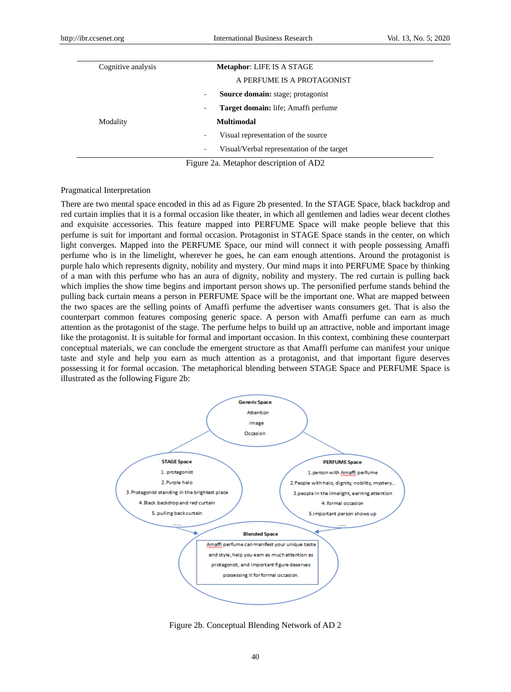| <b>Metaphor: LIFE IS A STAGE</b>                                       |
|------------------------------------------------------------------------|
| A PERFUME IS A PROTAGONIST                                             |
| <b>Source domain:</b> stage; protagonist<br>۰                          |
| Target domain: life; Amaffi perfume<br>۰                               |
| <b>Multimodal</b>                                                      |
| Visual representation of the source<br>$\overline{\phantom{a}}$        |
| Visual/Verbal representation of the target<br>$\overline{\phantom{a}}$ |
|                                                                        |

Figure 2a. Metaphor description of AD2

## Pragmatical Interpretation

There are two mental space encoded in this ad as Figure 2b presented. In the STAGE Space, black backdrop and red curtain implies that it is a formal occasion like theater, in which all gentlemen and ladies wear decent clothes and exquisite accessories. This feature mapped into PERFUME Space will make people believe that this perfume is suit for important and formal occasion. Protagonist in STAGE Space stands in the center, on which light converges. Mapped into the PERFUME Space, our mind will connect it with people possessing Amaffi perfume who is in the limelight, wherever he goes, he can earn enough attentions. Around the protagonist is purple halo which represents dignity, nobility and mystery. Our mind maps it into PERFUME Space by thinking of a man with this perfume who has an aura of dignity, nobility and mystery. The red curtain is pulling back which implies the show time begins and important person shows up. The personified perfume stands behind the pulling back curtain means a person in PERFUME Space will be the important one. What are mapped between the two spaces are the selling points of Amaffi perfume the advertiser wants consumers get. That is also the counterpart common features composing generic space. A person with Amaffi perfume can earn as much attention as the protagonist of the stage. The perfume helps to build up an attractive, noble and important image like the protagonist. It is suitable for formal and important occasion. In this context, combining these counterpart conceptual materials, we can conclude the emergent structure as that Amaffi perfume can manifest your unique taste and style and help you earn as much attention as a protagonist, and that important figure deserves possessing it for formal occasion. The metaphorical blending between STAGE Space and PERFUME Space is illustrated as the following Figure 2b:



Figure 2b. Conceptual Blending Network of AD 2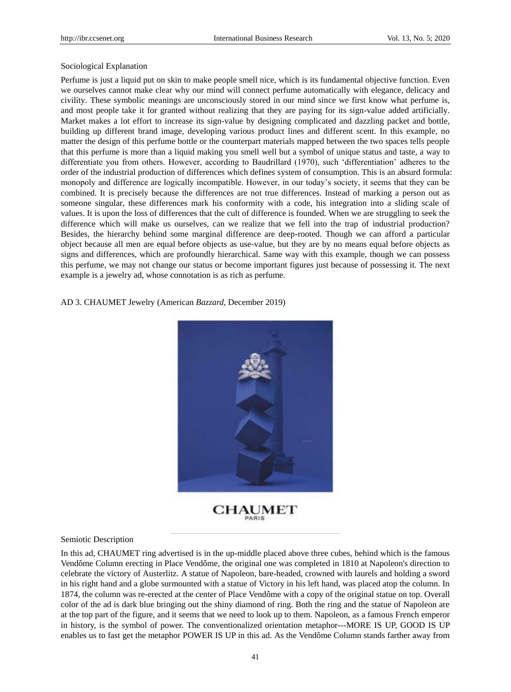#### Sociological Explanation

Perfume is just a liquid put on skin to make people smell nice, which is its fundamental objective function. Even we ourselves cannot make clear why our mind will connect perfume automatically with elegance, delicacy and civility. These symbolic meanings are unconsciously stored in our mind since we first know what perfume is, and most people take it for granted without realizing that they are paying for its sign-value added artificially. Market makes a lot effort to increase its sign-value by designing complicated and dazzling packet and bottle, building up different brand image, developing various product lines and different scent. In this example, no matter the design of this perfume bottle or the counterpart materials mapped between the two spaces tells people that this perfume is more than a liquid making you smell well but a symbol of unique status and taste, a way to differentiate you from others. However, according to Baudrillard (1970), such "differentiation" adheres to the order of the industrial production of differences which defines system of consumption. This is an absurd formula: monopoly and difference are logically incompatible. However, in our today"s society, it seems that they can be combined. It is precisely because the differences are not true differences. Instead of marking a person out as someone singular, these differences mark his conformity with a code, his integration into a sliding scale of values. It is upon the loss of differences that the cult of difference is founded. When we are struggling to seek the difference which will make us ourselves, can we realize that we fell into the trap of industrial production? Besides, the hierarchy behind some marginal difference are deep-rooted. Though we can afford a particular object because all men are equal before objects as use-value, but they are by no means equal before objects as signs and differences, which are profoundly hierarchical. Same way with this example, though we can possess this perfume, we may not change our status or become important figures just because of possessing it. The next example is a jewelry ad, whose connotation is as rich as perfume.

# AD 3. CHAUMET Jewelry (American *Bazzard*, December 2019)



**CHAUMET** PARIS

#### Semiotic Description

In this ad, CHAUMET ring advertised is in the up-middle placed above three cubes, behind which is the famous Vendôme Column erecting in Place Vendôme, the original one was completed in 1810 at Napoleon's direction to celebrate the victory of Austerlitz. A statue of Napoleon, bare-headed, crowned with laurels and holding a sword in his right hand and a globe surmounted with a statue of Victory in his left hand, was placed atop the column. In 1874, the column was re-erected at the center of Place Vendôme with a copy of the original statue on top. Overall color of the ad is dark blue bringing out the shiny diamond of ring. Both the ring and the statue of Napoleon are at the top part of the figure, and it seems that we need to look up to them. Napoleon, as a famous French emperor in history, is the symbol of power. The conventionalized orientation metaphor---MORE IS UP, GOOD IS UP enables us to fast get the metaphor POWER IS UP in this ad. As the Vendôme Column stands farther away from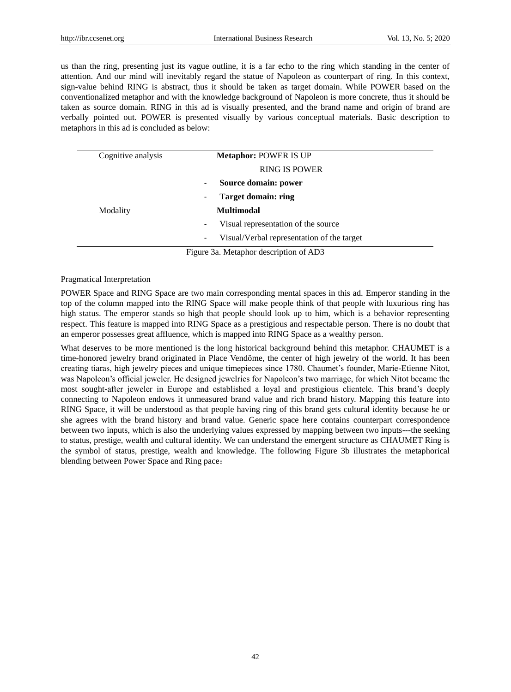us than the ring, presenting just its vague outline, it is a far echo to the ring which standing in the center of attention. And our mind will inevitably regard the statue of Napoleon as counterpart of ring. In this context, sign-value behind RING is abstract, thus it should be taken as target domain. While POWER based on the conventionalized metaphor and with the knowledge background of Napoleon is more concrete, thus it should be taken as source domain. RING in this ad is visually presented, and the brand name and origin of brand are verbally pointed out. POWER is presented visually by various conceptual materials. Basic description to metaphors in this ad is concluded as below:

| Cognitive analysis |                              | <b>Metaphor: POWER IS UP</b>               |
|--------------------|------------------------------|--------------------------------------------|
|                    |                              | <b>RING IS POWER</b>                       |
|                    | $\overline{\phantom{a}}$     | Source domain: power                       |
|                    | $\qquad \qquad \blacksquare$ | <b>Target domain: ring</b>                 |
| Modality           |                              | <b>Multimodal</b>                          |
|                    | -                            | Visual representation of the source        |
|                    | -                            | Visual/Verbal representation of the target |
|                    |                              | Figure 3a. Metaphor description of AD3     |

Pragmatical Interpretation

POWER Space and RING Space are two main corresponding mental spaces in this ad. Emperor standing in the top of the column mapped into the RING Space will make people think of that people with luxurious ring has high status. The emperor stands so high that people should look up to him, which is a behavior representing respect. This feature is mapped into RING Space as a prestigious and respectable person. There is no doubt that an emperor possesses great affluence, which is mapped into RING Space as a wealthy person.

What deserves to be more mentioned is the long historical background behind this metaphor. CHAUMET is a time-honored jewelry brand originated in Place Vendôme, the center of high jewelry of the world. It has been creating tiaras, high jewelry pieces and unique timepieces since 1780. Chaumet"s founder, Marie-Etienne Nitot, was Napoleon"s official jeweler. He designed jewelries for Napoleon"s two marriage, for which Nitot became the most sought-after jeweler in Europe and established a loyal and prestigious clientele. This brand"s deeply connecting to Napoleon endows it unmeasured brand value and rich brand history. Mapping this feature into RING Space, it will be understood as that people having ring of this brand gets cultural identity because he or she agrees with the brand history and brand value. Generic space here contains counterpart correspondence between two inputs, which is also the underlying values expressed by mapping between two inputs---the seeking to status, prestige, wealth and cultural identity. We can understand the emergent structure as CHAUMET Ring is the symbol of status, prestige, wealth and knowledge. The following Figure 3b illustrates the metaphorical blending between Power Space and Ring pace: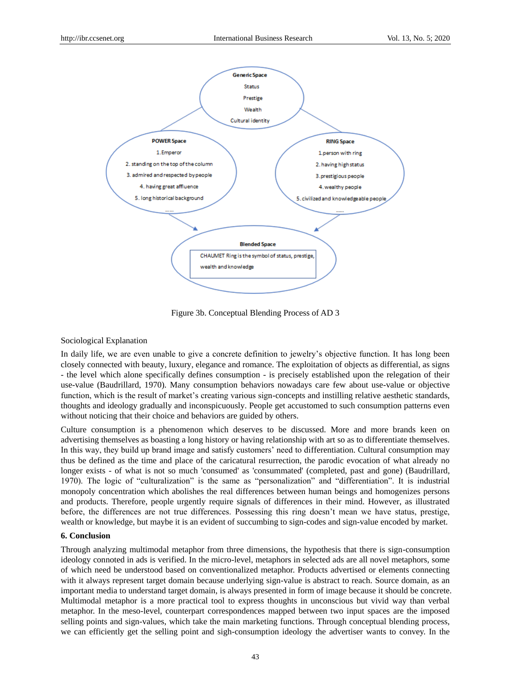

Figure 3b. Conceptual Blending Process of AD 3

#### Sociological Explanation

In daily life, we are even unable to give a concrete definition to jewelry"s objective function. It has long been closely connected with beauty, luxury, elegance and romance. The exploitation of objects as differential, as signs - the level which alone specifically defines consumption - is precisely established upon the relegation of their use-value (Baudrillard, 1970). Many consumption behaviors nowadays care few about use-value or objective function, which is the result of market's creating various sign-concepts and instilling relative aesthetic standards, thoughts and ideology gradually and inconspicuously. People get accustomed to such consumption patterns even without noticing that their choice and behaviors are guided by others.

Culture consumption is a phenomenon which deserves to be discussed. More and more brands keen on advertising themselves as boasting a long history or having relationship with art so as to differentiate themselves. In this way, they build up brand image and satisfy customers' need to differentiation. Cultural consumption may thus be defined as the time and place of the caricatural resurrection, the parodic evocation of what already no longer exists - of what is not so much 'consumed' as 'consummated' (completed, past and gone) (Baudrillard, 1970). The logic of "culturalization" is the same as "personalization" and "differentiation". It is industrial monopoly concentration which abolishes the real differences between human beings and homogenizes persons and products. Therefore, people urgently require signals of differences in their mind. However, as illustrated before, the differences are not true differences. Possessing this ring doesn"t mean we have status, prestige, wealth or knowledge, but maybe it is an evident of succumbing to sign-codes and sign-value encoded by market.

# **6. Conclusion**

Through analyzing multimodal metaphor from three dimensions, the hypothesis that there is sign-consumption ideology connoted in ads is verified. In the micro-level, metaphors in selected ads are all novel metaphors, some of which need be understood based on conventionalized metaphor. Products advertised or elements connecting with it always represent target domain because underlying sign-value is abstract to reach. Source domain, as an important media to understand target domain, is always presented in form of image because it should be concrete. Multimodal metaphor is a more practical tool to express thoughts in unconscious but vivid way than verbal metaphor. In the meso-level, counterpart correspondences mapped between two input spaces are the imposed selling points and sign-values, which take the main marketing functions. Through conceptual blending process, we can efficiently get the selling point and sigh-consumption ideology the advertiser wants to convey. In the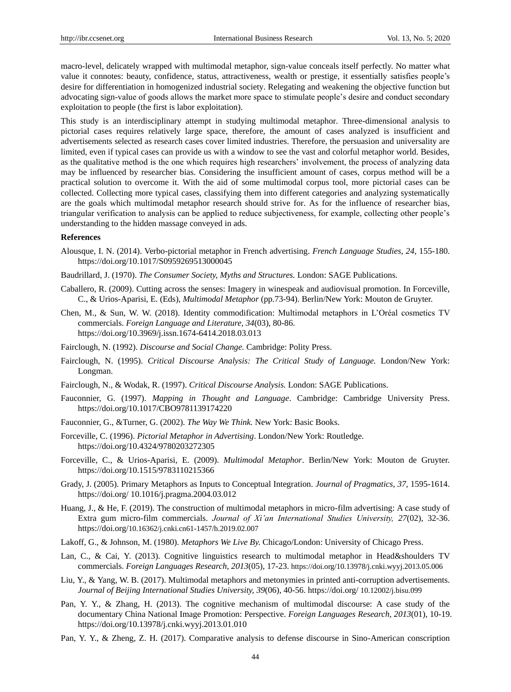macro-level, delicately wrapped with multimodal metaphor, sign-value conceals itself perfectly. No matter what value it connotes: beauty, confidence, status, attractiveness, wealth or prestige, it essentially satisfies people"s desire for differentiation in homogenized industrial society. Relegating and weakening the objective function but advocating sign-value of goods allows the market more space to stimulate people"s desire and conduct secondary exploitation to people (the first is labor exploitation).

This study is an interdisciplinary attempt in studying multimodal metaphor. Three-dimensional analysis to pictorial cases requires relatively large space, therefore, the amount of cases analyzed is insufficient and advertisements selected as research cases cover limited industries. Therefore, the persuasion and universality are limited, even if typical cases can provide us with a window to see the vast and colorful metaphor world. Besides, as the qualitative method is the one which requires high researchers' involvement, the process of analyzing data may be influenced by researcher bias. Considering the insufficient amount of cases, corpus method will be a practical solution to overcome it. With the aid of some multimodal corpus tool, more pictorial cases can be collected. Collecting more typical cases, classifying them into different categories and analyzing systematically are the goals which multimodal metaphor research should strive for. As for the influence of researcher bias, triangular verification to analysis can be applied to reduce subjectiveness, for example, collecting other people"s understanding to the hidden massage conveyed in ads.

#### **References**

- Alousque, I. N. (2014). Verbo-pictorial metaphor in French advertising. *French Language Studies*, *24,* 155-180. https://doi.org/10.1017/S0959269513000045
- Baudrillard, J. (1970). *The Consumer Society, Myths and Structures.* London: SAGE Publications.
- Caballero, R. (2009). Cutting across the senses: Imagery in winespeak and audiovisual promotion. In Forceville, C., & Urios-Aparisi, E. (Eds), *Multimodal Metaphor* (pp.73-94). Berlin/New York: Mouton de Gruyter.
- Chen, M., & Sun, W. W. (2018). Identity commodification: Multimodal metaphors in L"Oréal cosmetics TV commercials. *Foreign Language and Literature, 34*(03), 80-86. https://doi.org/10.3969/j.issn.1674-6414.2018.03.013
- Fairclough, N. (1992). *Discourse and Social Change.* Cambridge: Polity Press.
- Fairclough, N. (1995). *Critical Discourse Analysis: The Critical Study of Language.* London/New York: Longman.
- Fairclough, N., & Wodak, R. (1997). *Critical Discourse Analysis.* London: SAGE Publications.
- Fauconnier, G. (1997). *Mapping in Thought and Language*. Cambridge: Cambridge University Press. https://doi.org/10.1017/CBO9781139174220
- Fauconnier, G., &Turner, G. (2002). *The Way We Think.* New York: Basic Books.
- Forceville, C. (1996). *Pictorial Metaphor in Advertising*. London/New York: Routledge. https://doi.org/10.4324/9780203272305
- Forceville, C., & Urios-Aparisi, E. (2009). *Multimodal Metaphor*. Berlin/New York: Mouton de Gruyter. https://doi.org/10.1515/9783110215366
- Grady, J. (2005). Primary Metaphors as Inputs to Conceptual Integration. *Journal of Pragmatics*, *37,* 1595-1614. https://doi.org/ 10.1016/j.pragma.2004.03.012
- Huang, J., & He, F. (2019). The construction of multimodal metaphors in micro-film advertising: A case study of Extra gum micro-film commercials. *Journal of Xi'an International Studies University, 27*(02), 32-36. https://doi.org/10.16362/j.cnki.cn61-1457/h.2019.02.007
- Lakoff, G., & Johnson, M. (1980). *Metaphors We Live By.* Chicago/London: University of Chicago Press.
- Lan, C., & Cai, Y. (2013). Cognitive linguistics research to multimodal metaphor in Head&shoulders TV commercials.*Foreign Languages Research, 2013*(05), 17-23. https://doi.org/10.13978/j.cnki.wyyj.2013.05.006
- Liu, Y., & Yang, W. B. (2017). Multimodal metaphors and metonymies in printed anti-corruption advertisements. *Journal of Beijing International Studies University, 39*(06), 40-56. https://doi.org/ 10.12002/j.bisu.099
- Pan, Y. Y., & Zhang, H. (2013). The cognitive mechanism of multimodal discourse: A case study of the documentary China National Image Promotion: Perspective. *Foreign Languages Research, 2013*(01), 10-19. https://doi.org/10.13978/j.cnki.wyyj.2013.01.010
- Pan, Y. Y., & Zheng, Z. H. (2017). Comparative analysis to defense discourse in Sino-American conscription